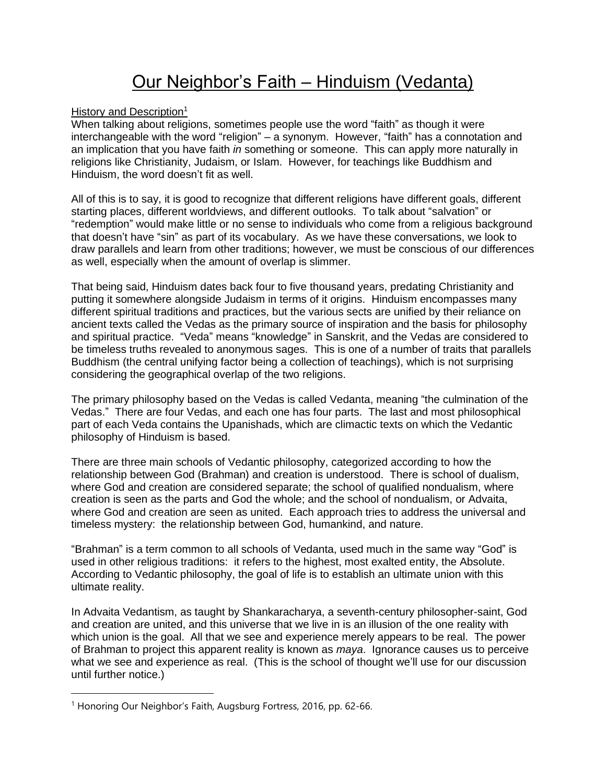## Our Neighbor's Faith – Hinduism (Vedanta)

History and Description<sup>1</sup>

When talking about religions, sometimes people use the word "faith" as though it were interchangeable with the word "religion" – a synonym. However, "faith" has a connotation and an implication that you have faith *in* something or someone. This can apply more naturally in religions like Christianity, Judaism, or Islam. However, for teachings like Buddhism and Hinduism, the word doesn't fit as well.

All of this is to say, it is good to recognize that different religions have different goals, different starting places, different worldviews, and different outlooks. To talk about "salvation" or "redemption" would make little or no sense to individuals who come from a religious background that doesn't have "sin" as part of its vocabulary. As we have these conversations, we look to draw parallels and learn from other traditions; however, we must be conscious of our differences as well, especially when the amount of overlap is slimmer.

That being said, Hinduism dates back four to five thousand years, predating Christianity and putting it somewhere alongside Judaism in terms of it origins. Hinduism encompasses many different spiritual traditions and practices, but the various sects are unified by their reliance on ancient texts called the Vedas as the primary source of inspiration and the basis for philosophy and spiritual practice. "Veda" means "knowledge" in Sanskrit, and the Vedas are considered to be timeless truths revealed to anonymous sages. This is one of a number of traits that parallels Buddhism (the central unifying factor being a collection of teachings), which is not surprising considering the geographical overlap of the two religions.

The primary philosophy based on the Vedas is called Vedanta, meaning "the culmination of the Vedas." There are four Vedas, and each one has four parts. The last and most philosophical part of each Veda contains the Upanishads, which are climactic texts on which the Vedantic philosophy of Hinduism is based.

There are three main schools of Vedantic philosophy, categorized according to how the relationship between God (Brahman) and creation is understood. There is school of dualism, where God and creation are considered separate; the school of qualified nondualism, where creation is seen as the parts and God the whole; and the school of nondualism, or Advaita, where God and creation are seen as united. Each approach tries to address the universal and timeless mystery: the relationship between God, humankind, and nature.

"Brahman" is a term common to all schools of Vedanta, used much in the same way "God" is used in other religious traditions: it refers to the highest, most exalted entity, the Absolute. According to Vedantic philosophy, the goal of life is to establish an ultimate union with this ultimate reality.

In Advaita Vedantism, as taught by Shankaracharya, a seventh-century philosopher-saint, God and creation are united, and this universe that we live in is an illusion of the one reality with which union is the goal. All that we see and experience merely appears to be real. The power of Brahman to project this apparent reality is known as *maya*. Ignorance causes us to perceive what we see and experience as real. (This is the school of thought we'll use for our discussion until further notice.)

<sup>&</sup>lt;sup>1</sup> Honoring Our Neighbor's Faith, Augsburg Fortress, 2016, pp. 62-66.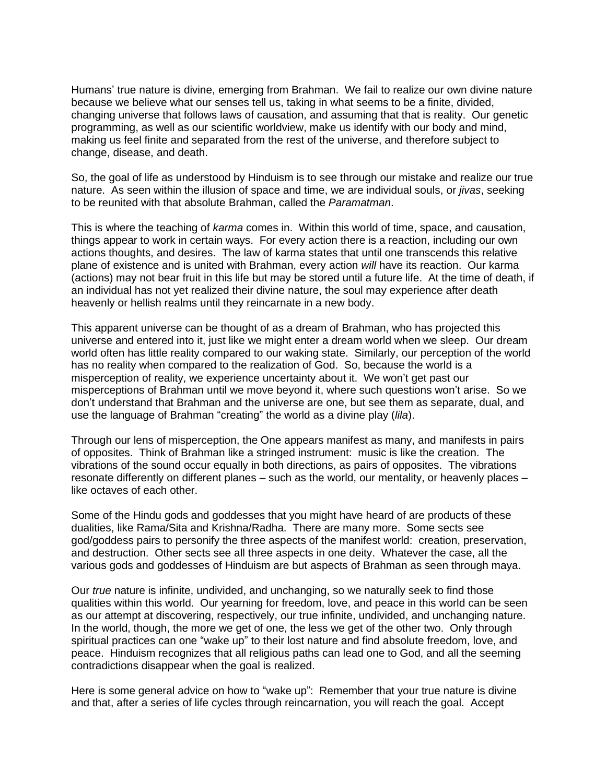Humans' true nature is divine, emerging from Brahman. We fail to realize our own divine nature because we believe what our senses tell us, taking in what seems to be a finite, divided, changing universe that follows laws of causation, and assuming that that is reality. Our genetic programming, as well as our scientific worldview, make us identify with our body and mind, making us feel finite and separated from the rest of the universe, and therefore subject to change, disease, and death.

So, the goal of life as understood by Hinduism is to see through our mistake and realize our true nature. As seen within the illusion of space and time, we are individual souls, or *jivas*, seeking to be reunited with that absolute Brahman, called the *Paramatman*.

This is where the teaching of *karma* comes in. Within this world of time, space, and causation, things appear to work in certain ways. For every action there is a reaction, including our own actions thoughts, and desires. The law of karma states that until one transcends this relative plane of existence and is united with Brahman, every action *will* have its reaction. Our karma (actions) may not bear fruit in this life but may be stored until a future life. At the time of death, if an individual has not yet realized their divine nature, the soul may experience after death heavenly or hellish realms until they reincarnate in a new body.

This apparent universe can be thought of as a dream of Brahman, who has projected this universe and entered into it, just like we might enter a dream world when we sleep. Our dream world often has little reality compared to our waking state. Similarly, our perception of the world has no reality when compared to the realization of God. So, because the world is a misperception of reality, we experience uncertainty about it. We won't get past our misperceptions of Brahman until we move beyond it, where such questions won't arise. So we don't understand that Brahman and the universe are one, but see them as separate, dual, and use the language of Brahman "creating" the world as a divine play (*lila*).

Through our lens of misperception, the One appears manifest as many, and manifests in pairs of opposites. Think of Brahman like a stringed instrument: music is like the creation. The vibrations of the sound occur equally in both directions, as pairs of opposites. The vibrations resonate differently on different planes – such as the world, our mentality, or heavenly places – like octaves of each other.

Some of the Hindu gods and goddesses that you might have heard of are products of these dualities, like Rama/Sita and Krishna/Radha. There are many more. Some sects see god/goddess pairs to personify the three aspects of the manifest world: creation, preservation, and destruction. Other sects see all three aspects in one deity. Whatever the case, all the various gods and goddesses of Hinduism are but aspects of Brahman as seen through maya.

Our *true* nature is infinite, undivided, and unchanging, so we naturally seek to find those qualities within this world. Our yearning for freedom, love, and peace in this world can be seen as our attempt at discovering, respectively, our true infinite, undivided, and unchanging nature. In the world, though, the more we get of one, the less we get of the other two. Only through spiritual practices can one "wake up" to their lost nature and find absolute freedom, love, and peace. Hinduism recognizes that all religious paths can lead one to God, and all the seeming contradictions disappear when the goal is realized.

Here is some general advice on how to "wake up": Remember that your true nature is divine and that, after a series of life cycles through reincarnation, you will reach the goal. Accept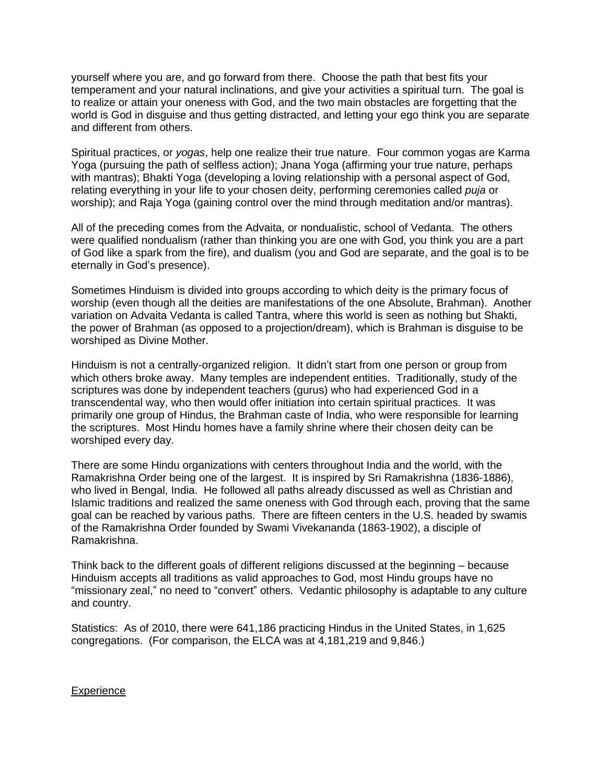yourself where you are, and go forward from there. Choose the path that best fits your temperament and your natural inclinations, and give your activities a spiritual turn. The goal is to realize or attain your oneness with God, and the two main obstacles are forgetting that the world is God in disguise and thus getting distracted, and letting your ego think you are separate and different from others.

Spiritual practices, or *yogas*, help one realize their true nature. Four common yogas are Karma Yoga (pursuing the path of selfless action); Jnana Yoga (affirming your true nature, perhaps with mantras); Bhakti Yoga (developing a loving relationship with a personal aspect of God, relating everything in your life to your chosen deity, performing ceremonies called *puja* or worship); and Raja Yoga (gaining control over the mind through meditation and/or mantras).

All of the preceding comes from the Advaita, or nondualistic, school of Vedanta. The others were qualified nondualism (rather than thinking you are one with God, you think you are a part of God like a spark from the fire), and dualism (you and God are separate, and the goal is to be eternally in God's presence).

Sometimes Hinduism is divided into groups according to which deity is the primary focus of worship (even though all the deities are manifestations of the one Absolute, Brahman). Another variation on Advaita Vedanta is called Tantra, where this world is seen as nothing but Shakti, the power of Brahman (as opposed to a projection/dream), which is Brahman is disguise to be worshiped as Divine Mother.

Hinduism is not a centrally-organized religion. It didn't start from one person or group from which others broke away. Many temples are independent entities. Traditionally, study of the scriptures was done by independent teachers (gurus) who had experienced God in a transcendental way, who then would offer initiation into certain spiritual practices. It was primarily one group of Hindus, the Brahman caste of India, who were responsible for learning the scriptures. Most Hindu homes have a family shrine where their chosen deity can be worshiped every day.

There are some Hindu organizations with centers throughout India and the world, with the Ramakrishna Order being one of the largest. It is inspired by Sri Ramakrishna (1836-1886), who lived in Bengal, India. He followed all paths already discussed as well as Christian and Islamic traditions and realized the same oneness with God through each, proving that the same goal can be reached by various paths. There are fifteen centers in the U.S. headed by swamis of the Ramakrishna Order founded by Swami Vivekananda (1863-1902), a disciple of Ramakrishna.

Think back to the different goals of different religions discussed at the beginning – because Hinduism accepts all traditions as valid approaches to God, most Hindu groups have no "missionary zeal," no need to "convert" others. Vedantic philosophy is adaptable to any culture and country.

Statistics: As of 2010, there were 641,186 practicing Hindus in the United States, in 1,625 congregations. (For comparison, the ELCA was at 4,181,219 and 9,846.)

## **Experience**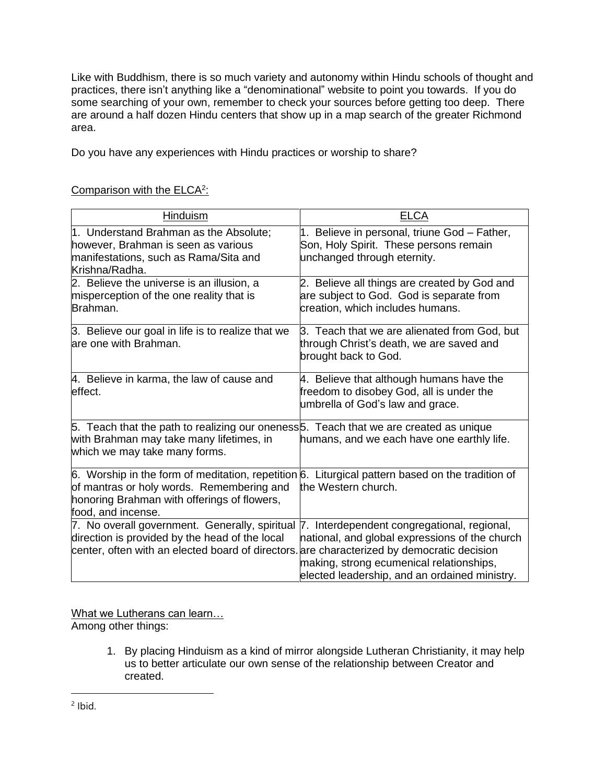Like with Buddhism, there is so much variety and autonomy within Hindu schools of thought and practices, there isn't anything like a "denominational" website to point you towards. If you do some searching of your own, remember to check your sources before getting too deep. There are around a half dozen Hindu centers that show up in a map search of the greater Richmond area.

Do you have any experiences with Hindu practices or worship to share?

## Comparison with the ELCA<sup>2</sup>:

| <b>Hinduism</b>                                                                                                                                                                                                                           | <b>ELCA</b>                                                                                                                                 |
|-------------------------------------------------------------------------------------------------------------------------------------------------------------------------------------------------------------------------------------------|---------------------------------------------------------------------------------------------------------------------------------------------|
| 1. Understand Brahman as the Absolute;<br>however, Brahman is seen as various<br>manifestations, such as Rama/Sita and<br>Krishna/Radha.                                                                                                  | 1. Believe in personal, triune God - Father,<br>Son, Holy Spirit. These persons remain<br>unchanged through eternity.                       |
| 2. Believe the universe is an illusion, a<br>misperception of the one reality that is<br>Brahman.                                                                                                                                         | 2. Believe all things are created by God and<br>are subject to God. God is separate from<br>creation, which includes humans.                |
| 3. Believe our goal in life is to realize that we<br>are one with Brahman.                                                                                                                                                                | 3. Teach that we are alienated from God, but<br>through Christ's death, we are saved and<br>brought back to God.                            |
| 4. Believe in karma, the law of cause and<br>effect.                                                                                                                                                                                      | 4. Believe that although humans have the<br>freedom to disobey God, all is under the<br>umbrella of God's law and grace.                    |
| 5. Teach that the path to realizing our oneness 5. Teach that we are created as unique<br>with Brahman may take many lifetimes, in<br>which we may take many forms.                                                                       | humans, and we each have one earthly life.                                                                                                  |
| 6. Worship in the form of meditation, repetition $6.$ Liturgical pattern based on the tradition of<br>of mantras or holy words. Remembering and<br>honoring Brahman with offerings of flowers,<br>food, and incense.                      | the Western church.                                                                                                                         |
| 7. No overall government. Generally, spiritual 7. Interdependent congregational, regional,<br>direction is provided by the head of the local<br>center, often with an elected board of directors are characterized by democratic decision | national, and global expressions of the church<br>making, strong ecumenical relationships,<br>elected leadership, and an ordained ministry. |

What we Lutherans can learn...

Among other things:

1. By placing Hinduism as a kind of mirror alongside Lutheran Christianity, it may help us to better articulate our own sense of the relationship between Creator and created.

 $2$  lbid.